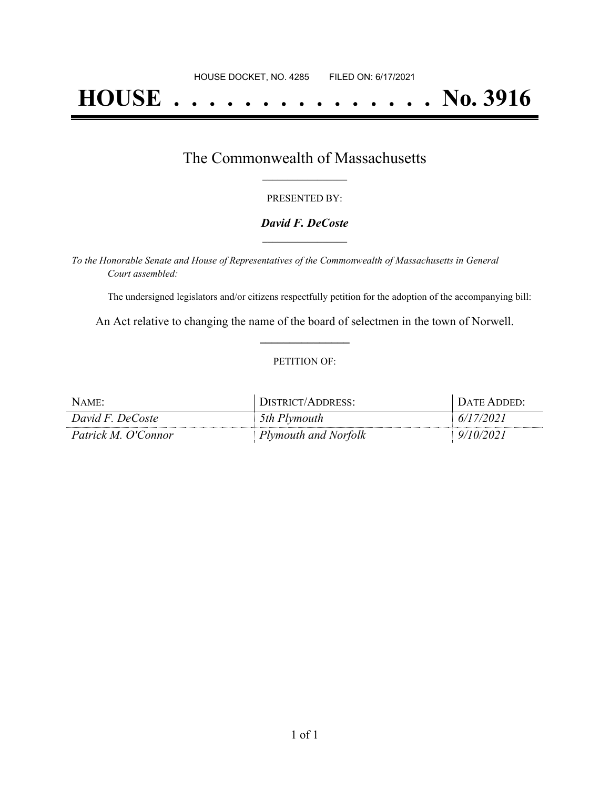# **HOUSE . . . . . . . . . . . . . . . No. 3916**

### The Commonwealth of Massachusetts **\_\_\_\_\_\_\_\_\_\_\_\_\_\_\_\_\_**

#### PRESENTED BY:

#### *David F. DeCoste* **\_\_\_\_\_\_\_\_\_\_\_\_\_\_\_\_\_**

*To the Honorable Senate and House of Representatives of the Commonwealth of Massachusetts in General Court assembled:*

The undersigned legislators and/or citizens respectfully petition for the adoption of the accompanying bill:

An Act relative to changing the name of the board of selectmen in the town of Norwell. **\_\_\_\_\_\_\_\_\_\_\_\_\_\_\_**

#### PETITION OF:

| $N$ AME:            | DISTRICT/ADDRESS:    | + DATE ADDED: |
|---------------------|----------------------|---------------|
| David F. DeCoste    | 5th Plymouth         | 6/17/2021     |
| Patrick M. O'Connor | Plymouth and Norfolk | 9/10/2021     |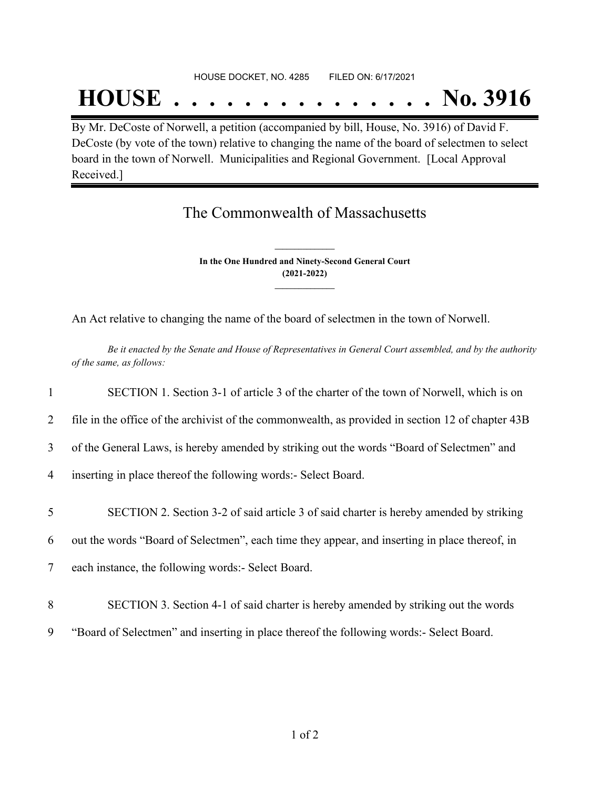#### HOUSE DOCKET, NO. 4285 FILED ON: 6/17/2021

## **HOUSE . . . . . . . . . . . . . . . No. 3916**

By Mr. DeCoste of Norwell, a petition (accompanied by bill, House, No. 3916) of David F. DeCoste (by vote of the town) relative to changing the name of the board of selectmen to select board in the town of Norwell. Municipalities and Regional Government. [Local Approval Received.]

## The Commonwealth of Massachusetts

**In the One Hundred and Ninety-Second General Court (2021-2022) \_\_\_\_\_\_\_\_\_\_\_\_\_\_\_**

**\_\_\_\_\_\_\_\_\_\_\_\_\_\_\_**

An Act relative to changing the name of the board of selectmen in the town of Norwell.

Be it enacted by the Senate and House of Representatives in General Court assembled, and by the authority *of the same, as follows:*

 SECTION 1. Section 3-1 of article 3 of the charter of the town of Norwell, which is on file in the office of the archivist of the commonwealth, as provided in section 12 of chapter 43B of the General Laws, is hereby amended by striking out the words "Board of Selectmen" and inserting in place thereof the following words:- Select Board. SECTION 2. Section 3-2 of said article 3 of said charter is hereby amended by striking out the words "Board of Selectmen", each time they appear, and inserting in place thereof, in each instance, the following words:- Select Board. SECTION 3. Section 4-1 of said charter is hereby amended by striking out the words "Board of Selectmen" and inserting in place thereof the following words:- Select Board.